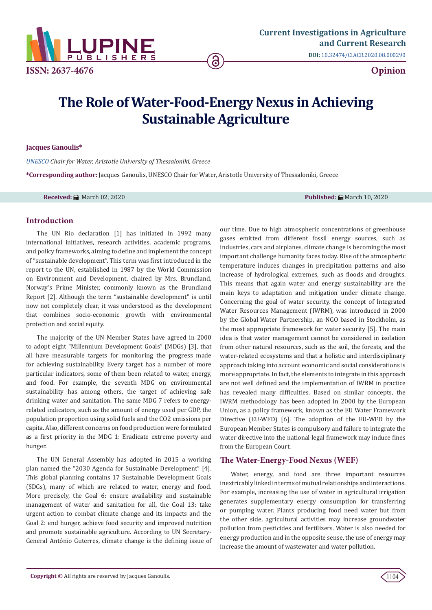

**DOI:** [10.32474/CIACR.2020.08.000290](http://dx.doi.org/10.32474/CIACR.2020.08.000290)

# **The Role of Water-Food-Energy Nexus in Achieving Sustainable Agriculture**

## **Jacques Ganoulis\***

*[UNESCO](http://www.inweb.gr/
) Chair for Water, Aristotle University of Thessaloniki, Greece*

**\*Corresponding author:** Jacques Ganoulis, UNESCO Chair for Water, Aristotle University of Thessaloniki, Greece

**Received:** March 02, 2020 **Published:** March 10, 2020

## **Introduction**

The UN Rio declaration [1] has initiated in 1992 many international initiatives, research activities, academic programs, and policy frameworks, aiming to define and implement the concept of "sustainable development". This term was first introduced in the report to the UN, established in 1987 by the World Commission on Environment and Development, chaired by Mrs. Brundland, Norway's Prime Minister, commonly known as the Brundland Report [2]. Although the term "sustainable development" is until now not completely clear, it was understood as the development that combines socio-economic growth with environmental protection and social equity.

The majority of the UN Member States have agreed in 2000 to adopt eight "Millennium Development Goals" (MDGs) [3], that all have measurable targets for monitoring the progress made for achieving sustainability. Every target has a number of more particular indicators, some of them been related to water, energy, and food. For example, the seventh MDG on environmental sustainability has among others, the target of achieving safe drinking water and sanitation. The same MDG 7 refers to energyrelated indicators, such as the amount of energy used per GDP, the population proportion using solid fuels and the CO2 emissions per capita. Also, different concerns on food production were formulated as a first priority in the MDG 1: Eradicate extreme poverty and hunger.

The UN General Assembly has adopted in 2015 a working plan named the "2030 Agenda for Sustainable Development" [4]. This global planning contains 17 Sustainable Development Goals (SDGs), many of which are related to water, energy and food. More precisely, the Goal 6: ensure availability and sustainable management of water and sanitation for all, the Goal 13: take urgent action to combat climate change and its impacts and the Goal 2: end hunger, achieve food security and improved nutrition and promote sustainable agriculture. According to UN Secretary-General António Guterres, climate change is the defining issue of our time. Due to high atmospheric concentrations of greenhouse gases emitted from different fossil energy sources, such as industries, cars and airplanes, climate change is becoming the most important challenge humanity faces today. Rise of the atmospheric temperature induces changes in precipitation patterns and also increase of hydrological extremes, such as floods and droughts. This means that again water and energy sustainability are the main keys to adaptation and mitigation under climate change. Concerning the goal of water security, the concept of Integrated Water Resources Management (IWRM), was introduced in 2000 by the Global Water Partnership, an NGO based in Stockholm, as the most appropriate framework for water security [5]. The main idea is that water management cannot be considered in isolation from other natural resources, such as the soil, the forests, and the water-related ecosystems and that a holistic and interdisciplinary approach taking into account economic and social considerations is more appropriate. In fact, the elements to integrate in this approach are not well defined and the implementation of IWRM in practice has revealed many difficulties. Based on similar concepts, the IWRM methodology has been adopted in 2000 by the European Union, as a policy framework, known as the EU Water Framework Directive (EU-WFD) [6]. The adoption of the EU-WFD by the European Member States is compulsory and failure to integrate the water directive into the national legal framework may induce fines from the European Court.

## **The Water-Energy-Food Nexus (WEF)**

Water, energy, and food are three important resources inextricably linked in terms of mutual relationships and interactions. For example, increasing the use of water in agricultural irrigation generates supplementary energy consumption for transferring or pumping water. Plants producing food need water but from the other side, agricultural activities may increase groundwater pollution from pesticides and fertilizers. Water is also needed for energy production and in the opposite sense, the use of energy may increase the amount of wastewater and water pollution.

1104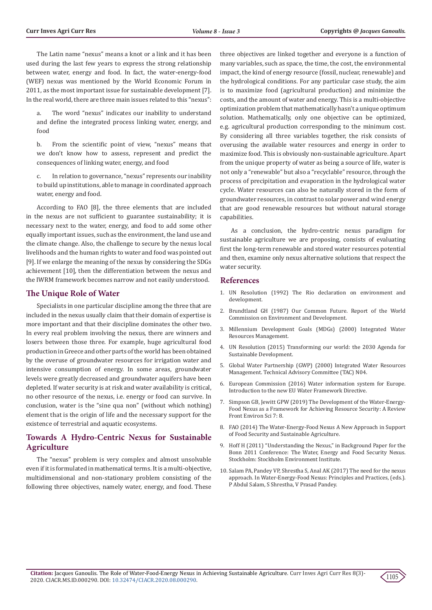The Latin name "nexus" means a knot or a link and it has been used during the last few years to express the strong relationship between water, energy and food. In fact, the water-energy-food (WEF) nexus was mentioned by the World Economic Forum in 2011, as the most important issue for sustainable development [7]. In the real world, there are three main issues related to this "nexus":

The word "nexus" indicates our inability to understand and define the integrated process linking water, energy, and food

b. From the scientific point of view, "nexus" means that we don't know how to assess, represent and predict the consequences of linking water, energy, and food

c. In relation to governance, "nexus" represents our inability to build up institutions, able to manage in coordinated approach water, energy and food.

According to FAO [8], the three elements that are included in the nexus are not sufficient to guarantee sustainability; it is necessary next to the water, energy, and food to add some other equally important issues, such as the environment, the land use and the climate change. Also, the challenge to secure by the nexus local livelihoods and the human rights to water and food was pointed out [9]. If we enlarge the meaning of the nexus by considering the SDGs achievement [10], then the differentiation between the nexus and the IWRM framework becomes narrow and not easily understood.

## **The Unique Role of Water**

Specialists in one particular discipline among the three that are included in the nexus usually claim that their domain of expertise is more important and that their discipline dominates the other two. In every real problem involving the nexus, there are winners and losers between those three. For example, huge agricultural food production in Greece and other parts of the world has been obtained by the overuse of groundwater resources for irrigation water and intensive consumption of energy. In some areas, groundwater levels were greatly decreased and groundwater aquifers have been depleted. If water security is at risk and water availability is critical, no other resource of the nexus, i.e. energy or food can survive. In conclusion, water is the "sine qua non" (without which nothing) element that is the origin of life and the necessary support for the existence of terrestrial and aquatic ecosystems.

# **Towards A Hydro-Centric Nexus for Sustainable Agriculture**

The "nexus" problem is very complex and almost unsolvable even if it is formulated in mathematical terms. It is a multi-objective, multidimensional and non-stationary problem consisting of the following three objectives, namely water, energy, and food. These

three objectives are linked together and everyone is a function of many variables, such as space, the time, the cost, the environmental impact, the kind of energy resource (fossil, nuclear, renewable) and the hydrological conditions. For any particular case study, the aim is to maximize food (agricultural production) and minimize the costs, and the amount of water and energy. This is a multi-objective optimization problem that mathematically hasn't a unique optimum solution. Mathematically, only one objective can be optimized, e.g. agricultural production corresponding to the minimum cost. By considering all three variables together, the risk consists of overusing the available water resources and energy in order to maximize food. This is obviously non-sustainable agriculture. Apart from the unique property of water as being a source of life, water is not only a "renewable" but also a "recyclable" resource, through the process of precipitation and evaporation in the hydrological water cycle. Water resources can also be naturally stored in the form of groundwater resources, in contrast to solar power and wind energy that are good renewable resources but without natural storage capabilities.

As a conclusion, the hydro-centric nexus paradigm for sustainable agriculture we are proposing, consists of evaluating first the long-term renewable and stored water resources potential and then, examine only nexus alternative solutions that respect the water security.

## **References**

- 1. [UN Resolution \(1992\) The Rio declaration on environment and](https://www.un.org/en/development/desa/population/migration/generalassembly/docs/globalcompact/A_CONF.151_26_Vol.I_Declaration.pdf) development
- 2. [Brundtland GH \(1987\) Our Common Future. Report of the World](https://sustainabledevelopment.un.org/content/documents/5987our-common-future.pdf) [Commission on Environment and Development.](https://sustainabledevelopment.un.org/content/documents/5987our-common-future.pdf)
- 3. [Millennium Development Goals \(MDGs\) \(2000\) Integrated Water](https://www.who.int/topics/millennium_development_goals/about/en/) [Resources Management.](https://www.who.int/topics/millennium_development_goals/about/en/)
- 4. [UN Resolution \(2015\) Transforming our world: the 2030 Agenda for](https://sustainabledevelopment.un.org/post2015/transformingourworld/publication) [Sustainable Development.](https://sustainabledevelopment.un.org/post2015/transformingourworld/publication)
- 5. [Global Water Partnership \(GWP\) \(2000\) Integrated Water Resources](https://www.gwp.org/globalassets/global/toolbox/publications/background-papers/04-integrated-water-resources-management-2000-english.pdf) [Management. Technical Advisory Committee \(TAC\) N04.](https://www.gwp.org/globalassets/global/toolbox/publications/background-papers/04-integrated-water-resources-management-2000-english.pdf)
- 6. European Commission (2016) Water information system for Europe. Introduction to the new EU Water Framework Directive.
- 7. [Simpson GB, Jewitt GPW \(2019\) The Development of the Water-Energy-](https://www.frontiersin.org/articles/10.3389/fenvs.2019.00008/full)[Food Nexus as a Framework for Achieving Resource Security: A Review](https://www.frontiersin.org/articles/10.3389/fenvs.2019.00008/full) [Front Environ Sci 7: 8.](https://www.frontiersin.org/articles/10.3389/fenvs.2019.00008/full)
- 8. [FAO \(2014\) The Water-Energy-Food Nexus A New Approach in Support](http://www.fao.org/policy-support/resources/resources-details/en/c/421718/) [of Food Security and Sustainable Agriculture.](http://www.fao.org/policy-support/resources/resources-details/en/c/421718/)
- 9. [Hoff H \(2011\) "Understanding the Nexus," in Background Paper for the](https://www.water-energy-food.org/uploads/media/understanding_the_nexus.pdf) [Bonn 2011 Conference: The Water, Energy and Food Security Nexus.](https://www.water-energy-food.org/uploads/media/understanding_the_nexus.pdf) [Stockholm: Stockholm Environment Institute.](https://www.water-energy-food.org/uploads/media/understanding_the_nexus.pdf)
- 10. Salam PA, Pandey VP, Shrestha S, Anal AK (2017) The need for the nexus approach. In Water-Energy-Food Nexus: Principles and Practices, (eds.). P Abdul Salam, S Shrestha, V Prasad Pandey.